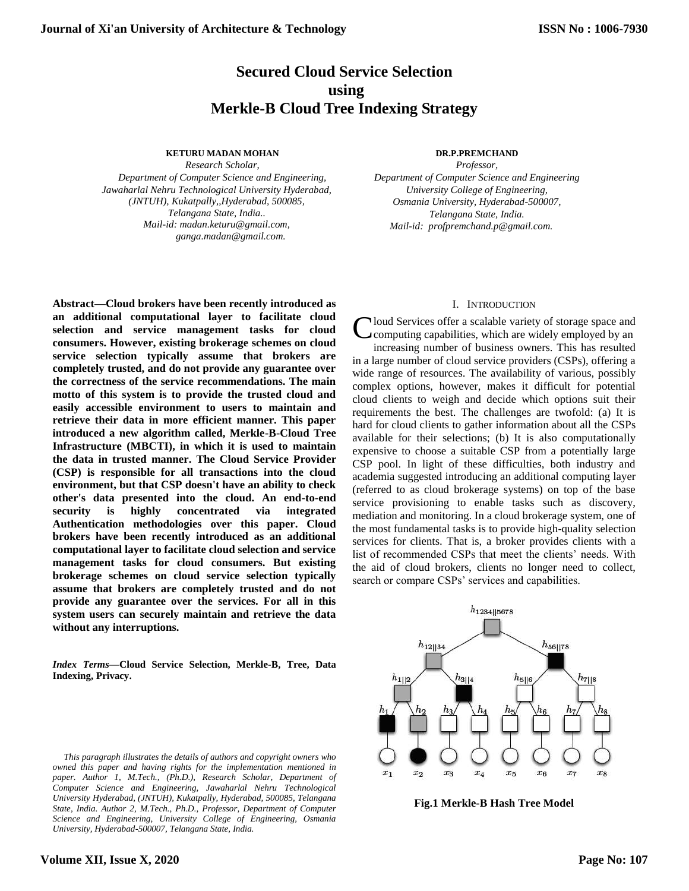# **Secured Cloud Service Selection using Merkle-B Cloud Tree Indexing Strategy**

#### **KETURU MADAN MOHAN**

*Research Scholar,*

*Department of Computer Science and Engineering, Jawaharlal Nehru Technological University Hyderabad, (JNTUH), Kukatpally,,Hyderabad, 500085, Telangana State, India.. Mail-id: madan.keturu@gmail.com, ganga.madan@gmail.com.*

#### **DR.P.PREMCHAND**

*Professor, Department of Computer Science and Engineering University College of Engineering, Osmania University, Hyderabad-500007, Telangana State, India. Mail-id: profpremchand.p@gmail.com.*

# I. INTRODUCTION

Cloud Services offer a scalable variety of storage space and<br>Computing capabilities, which are widely employed by an computing capabilities, which are widely employed by an increasing number of business owners. This has resulted in a large number of cloud service providers (CSPs), offering a wide range of resources. The availability of various, possibly complex options, however, makes it difficult for potential cloud clients to weigh and decide which options suit their requirements the best. The challenges are twofold: (a) It is hard for cloud clients to gather information about all the CSPs available for their selections; (b) It is also computationally expensive to choose a suitable CSP from a potentially large CSP pool. In light of these difficulties, both industry and academia suggested introducing an additional computing layer (referred to as cloud brokerage systems) on top of the base service provisioning to enable tasks such as discovery, mediation and monitoring. In a cloud brokerage system, one of the most fundamental tasks is to provide high-quality selection services for clients. That is, a broker provides clients with a list of recommended CSPs that meet the clients' needs. With the aid of cloud brokers, clients no longer need to collect, search or compare CSPs' services and capabilities.



**Fig.1 Merkle-B Hash Tree Model**

**Abstract—Cloud brokers have been recently introduced as an additional computational layer to facilitate cloud selection and service management tasks for cloud consumers. However, existing brokerage schemes on cloud service selection typically assume that brokers are completely trusted, and do not provide any guarantee over the correctness of the service recommendations. The main motto of this system is to provide the trusted cloud and easily accessible environment to users to maintain and retrieve their data in more efficient manner. This paper introduced a new algorithm called, Merkle-B-Cloud Tree Infrastructure (MBCTI), in which it is used to maintain the data in trusted manner. The Cloud Service Provider (CSP) is responsible for all transactions into the cloud environment, but that CSP doesn't have an ability to check other's data presented into the cloud. An end-to-end security is highly concentrated via integrated Authentication methodologies over this paper. Cloud brokers have been recently introduced as an additional computational layer to facilitate cloud selection and service management tasks for cloud consumers. But existing brokerage schemes on cloud service selection typically assume that brokers are completely trusted and do not provide any guarantee over the services. For all in this system users can securely maintain and retrieve the data without any interruptions.**

*Index Terms***—Cloud Service Selection, Merkle-B, Tree, Data Indexing, Privacy.**

*This paragraph illustrates the details of authors and copyright owners who owned this paper and having rights for the implementation mentioned in paper. Author 1, M.Tech., (Ph.D.), Research Scholar, Department of Computer Science and Engineering, Jawaharlal Nehru Technological University Hyderabad, (JNTUH), Kukatpally, Hyderabad, 500085, Telangana State, India. Author 2, M.Tech., Ph.D., Professor, Department of Computer Science and Engineering, University College of Engineering, Osmania University, Hyderabad-500007, Telangana State, India.*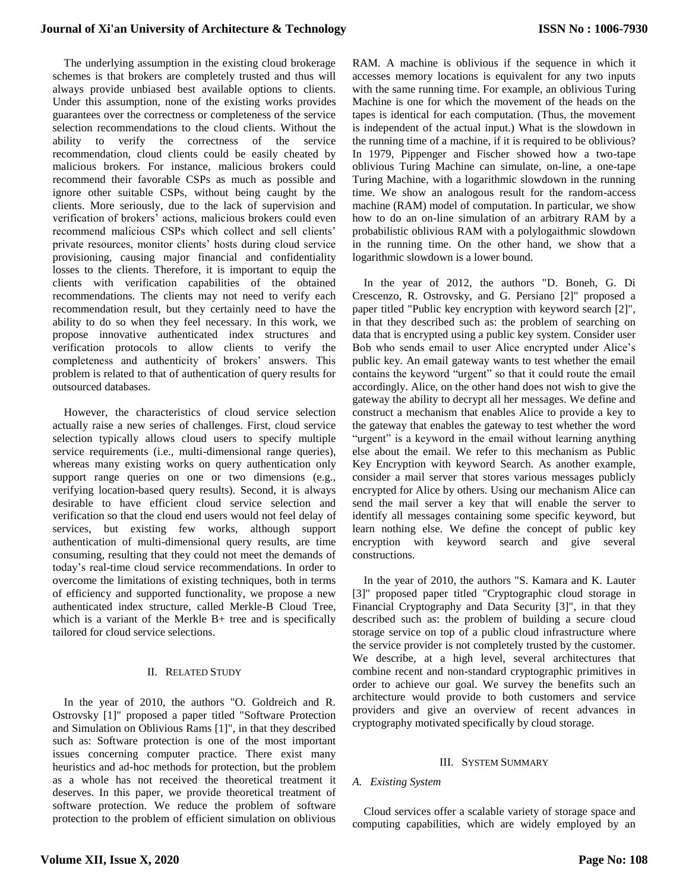The underlying assumption in the existing cloud brokerage schemes is that brokers are completely trusted and thus will always provide unbiased best available options to clients. Under this assumption, none of the existing works provides guarantees over the correctness or completeness of the service selection recommendations to the cloud clients. Without the ability to verify the correctness of the service recommendation, cloud clients could be easily cheated by malicious brokers. For instance, malicious brokers could recommend their favorable CSPs as much as possible and ignore other suitable CSPs, without being caught by the clients. More seriously, due to the lack of supervision and verification of brokers' actions, malicious brokers could even recommend malicious CSPs which collect and sell clients' private resources, monitor clients' hosts during cloud service provisioning, causing major financial and confidentiality losses to the clients. Therefore, it is important to equip the clients with verification capabilities of the obtained recommendations. The clients may not need to verify each recommendation result, but they certainly need to have the ability to do so when they feel necessary. In this work, we propose innovative authenticated index structures and verification protocols to allow clients to verify the completeness and authenticity of brokers' answers. This problem is related to that of authentication of query results for outsourced databases.

However, the characteristics of cloud service selection actually raise a new series of challenges. First, cloud service selection typically allows cloud users to specify multiple service requirements (i.e., multi-dimensional range queries), whereas many existing works on query authentication only support range queries on one or two dimensions (e.g., verifying location-based query results). Second, it is always desirable to have efficient cloud service selection and verification so that the cloud end users would not feel delay of services, but existing few works, although support authentication of multi-dimensional query results, are time consuming, resulting that they could not meet the demands of today's real-time cloud service recommendations. In order to overcome the limitations of existing techniques, both in terms of efficiency and supported functionality, we propose a new authenticated index structure, called Merkle-B Cloud Tree, which is a variant of the Merkle B+ tree and is specifically tailored for cloud service selections.

#### II. RELATED STUDY

In the year of 2010, the authors "O. Goldreich and R. Ostrovsky [1]" proposed a paper titled "Software Protection and Simulation on Oblivious Rams [1]", in that they described such as: Software protection is one of the most important issues concerning computer practice. There exist many heuristics and ad-hoc methods for protection, but the problem as a whole has not received the theoretical treatment it deserves. In this paper, we provide theoretical treatment of software protection. We reduce the problem of software protection to the problem of efficient simulation on oblivious RAM. A machine is oblivious if the sequence in which it accesses memory locations is equivalent for any two inputs with the same running time. For example, an oblivious Turing Machine is one for which the movement of the heads on the tapes is identical for each computation. (Thus, the movement is independent of the actual input.) What is the slowdown in the running time of a machine, if it is required to be oblivious? In 1979, Pippenger and Fischer showed how a two-tape oblivious Turing Machine can simulate, on-line, a one-tape Turing Machine, with a logarithmic slowdown in the running time. We show an analogous result for the random-access machine (RAM) model of computation. In particular, we show how to do an on-line simulation of an arbitrary RAM by a probabilistic oblivious RAM with a polylogaithmic slowdown in the running time. On the other hand, we show that a logarithmic slowdown is a lower bound.

In the year of 2012, the authors "D. Boneh, G. Di Crescenzo, R. Ostrovsky, and G. Persiano [2]" proposed a paper titled "Public key encryption with keyword search [2]", in that they described such as: the problem of searching on data that is encrypted using a public key system. Consider user Bob who sends email to user Alice encrypted under Alice's public key. An email gateway wants to test whether the email contains the keyword "urgent" so that it could route the email accordingly. Alice, on the other hand does not wish to give the gateway the ability to decrypt all her messages. We define and construct a mechanism that enables Alice to provide a key to the gateway that enables the gateway to test whether the word "urgent" is a keyword in the email without learning anything else about the email. We refer to this mechanism as Public Key Encryption with keyword Search. As another example, consider a mail server that stores various messages publicly encrypted for Alice by others. Using our mechanism Alice can send the mail server a key that will enable the server to identify all messages containing some specific keyword, but learn nothing else. We define the concept of public key encryption with keyword search and give several constructions.

In the year of 2010, the authors "S. Kamara and K. Lauter [3]" proposed paper titled "Cryptographic cloud storage in Financial Cryptography and Data Security [3]", in that they described such as: the problem of building a secure cloud storage service on top of a public cloud infrastructure where the service provider is not completely trusted by the customer. We describe, at a high level, several architectures that combine recent and non-standard cryptographic primitives in order to achieve our goal. We survey the benefits such an architecture would provide to both customers and service providers and give an overview of recent advances in cryptography motivated specifically by cloud storage.

#### III. SYSTEM SUMMARY

## *A. Existing System*

Cloud services offer a scalable variety of storage space and computing capabilities, which are widely employed by an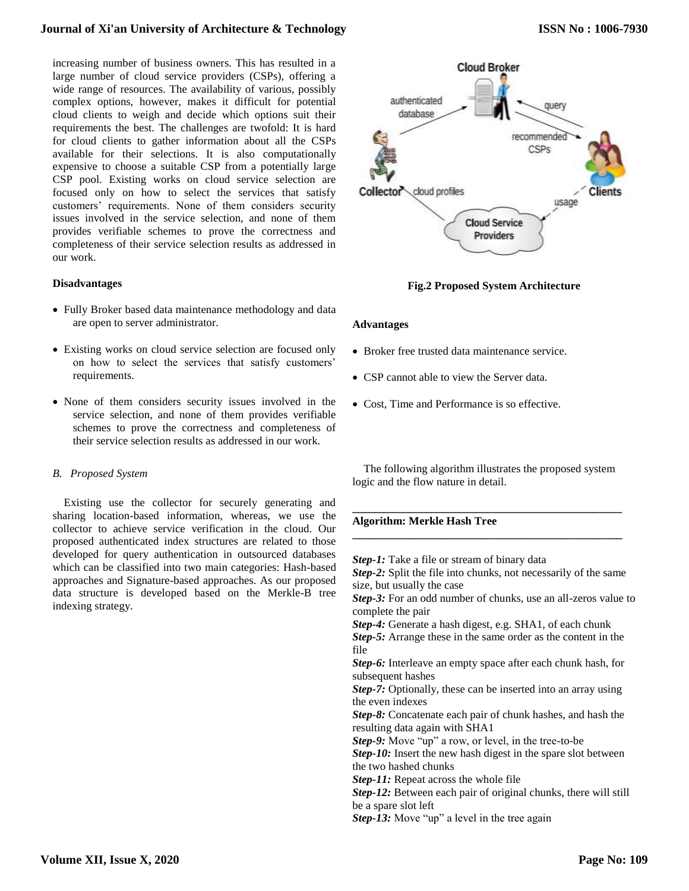increasing number of business owners. This has resulted in a large number of cloud service providers (CSPs), offering a wide range of resources. The availability of various, possibly complex options, however, makes it difficult for potential cloud clients to weigh and decide which options suit their requirements the best. The challenges are twofold: It is hard for cloud clients to gather information about all the CSPs available for their selections. It is also computationally expensive to choose a suitable CSP from a potentially large CSP pool. Existing works on cloud service selection are focused only on how to select the services that satisfy customers' requirements. None of them considers security issues involved in the service selection, and none of them provides verifiable schemes to prove the correctness and completeness of their service selection results as addressed in our work.

#### **Disadvantages**

- Fully Broker based data maintenance methodology and data are open to server administrator.
- Existing works on cloud service selection are focused only on how to select the services that satisfy customers' requirements.
- None of them considers security issues involved in the service selection, and none of them provides verifiable schemes to prove the correctness and completeness of their service selection results as addressed in our work.

## *B. Proposed System*

Existing use the collector for securely generating and sharing location-based information, whereas, we use the collector to achieve service verification in the cloud. Our proposed authenticated index structures are related to those developed for query authentication in outsourced databases which can be classified into two main categories: Hash-based approaches and Signature-based approaches. As our proposed data structure is developed based on the Merkle-B tree indexing strategy.



# **Fig.2 Proposed System Architecture**

#### **Advantages**

- Broker free trusted data maintenance service.
- CSP cannot able to view the Server data.
- Cost, Time and Performance is so effective.

The following algorithm illustrates the proposed system logic and the flow nature in detail.

**\_\_\_\_\_\_\_\_\_\_\_\_\_\_\_\_\_\_\_\_\_\_\_\_\_\_\_\_\_\_\_\_\_\_\_\_\_\_\_\_\_\_\_\_\_\_\_\_**

**\_\_\_\_\_\_\_\_\_\_\_\_\_\_\_\_\_\_\_\_\_\_\_\_\_\_\_\_\_\_\_\_\_\_\_\_\_\_\_\_\_\_\_\_\_\_\_\_**

## **Algorithm: Merkle Hash Tree**

*Step-1:* Take a file or stream of binary data *Step-2:* Split the file into chunks, not necessarily of the same size, but usually the case *Step-3:* For an odd number of chunks, use an all-zeros value to complete the pair *Step-4:* Generate a hash digest, e.g. SHA1, of each chunk *Step-5:* Arrange these in the same order as the content in the file *Step-6:* Interleave an empty space after each chunk hash, for subsequent hashes *Step-7:* Optionally, these can be inserted into an array using the even indexes *Step-8:* Concatenate each pair of chunk hashes, and hash the resulting data again with SHA1 *Step-9:* Move "up" a row, or level, in the tree-to-be *Step-10:* Insert the new hash digest in the spare slot between the two hashed chunks *Step-11:* Repeat across the whole file *Step-12:* Between each pair of original chunks, there will still be a spare slot left *Step-13:* Move "up" a level in the tree again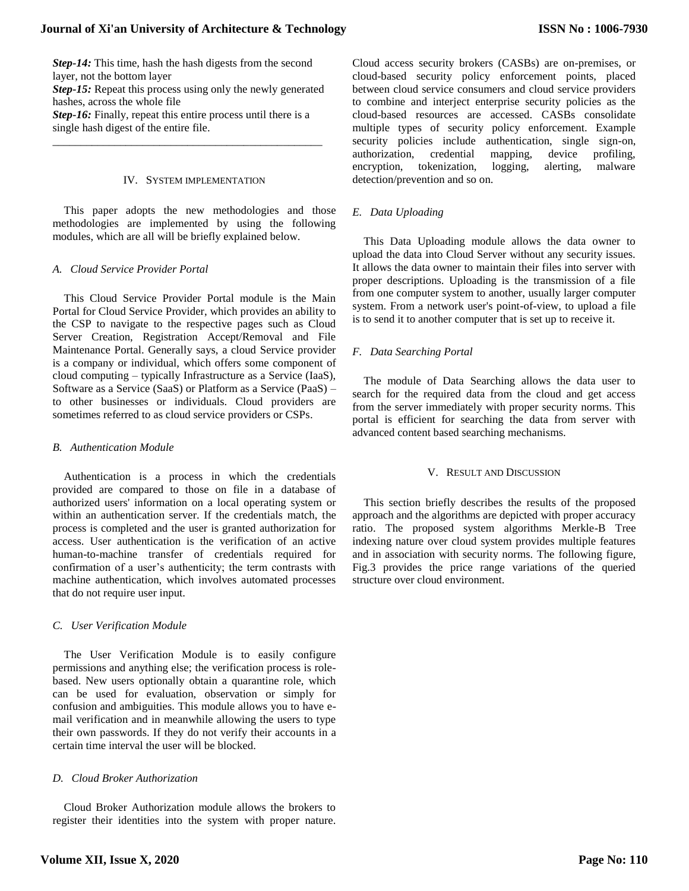*Step-14:* This time, hash the hash digests from the second layer, not the bottom layer *Step-15:* Repeat this process using only the newly generated hashes, across the whole file *Step-16:* Finally, repeat this entire process until there is a single hash digest of the entire file.

\_\_\_\_\_\_\_\_\_\_\_\_\_\_\_\_\_\_\_\_\_\_\_\_\_\_\_\_\_\_\_\_\_\_\_\_\_\_\_\_\_\_\_\_\_\_\_\_

### IV. SYSTEM IMPLEMENTATION

This paper adopts the new methodologies and those methodologies are implemented by using the following modules, which are all will be briefly explained below.

#### *A. Cloud Service Provider Portal*

This Cloud Service Provider Portal module is the Main Portal for Cloud Service Provider, which provides an ability to the CSP to navigate to the respective pages such as Cloud Server Creation, Registration Accept/Removal and File Maintenance Portal. Generally says, a cloud Service provider is a company or individual, which offers some component of cloud computing – typically Infrastructure as a Service (IaaS), Software as a Service (SaaS) or Platform as a Service (PaaS) – to other businesses or individuals. Cloud providers are sometimes referred to as cloud service providers or CSPs.

### *B. Authentication Module*

Authentication is a process in which the credentials provided are compared to those on file in a database of authorized users' information on a local operating system or within an authentication server. If the credentials match, the process is completed and the user is granted authorization for access. User authentication is the verification of an active human-to-machine transfer of credentials required for confirmation of a user's authenticity; the term contrasts with machine authentication, which involves automated processes that do not require user input.

## *C. User Verification Module*

The User Verification Module is to easily configure permissions and anything else; the verification process is rolebased. New users optionally obtain a quarantine role, which can be used for evaluation, observation or simply for confusion and ambiguities. This module allows you to have email verification and in meanwhile allowing the users to type their own passwords. If they do not verify their accounts in a certain time interval the user will be blocked.

## *D. Cloud Broker Authorization*

Cloud Broker Authorization module allows the brokers to register their identities into the system with proper nature. Cloud access security brokers (CASBs) are on-premises, or cloud-based security policy enforcement points, placed between cloud service consumers and cloud service providers to combine and interject enterprise security policies as the cloud-based resources are accessed. CASBs consolidate multiple types of security policy enforcement. Example security policies include authentication, single sign-on, authorization, credential mapping, device profiling, encryption, tokenization, logging, alerting, malware detection/prevention and so on.

### *E. Data Uploading*

This Data Uploading module allows the data owner to upload the data into Cloud Server without any security issues. It allows the data owner to maintain their files into server with proper descriptions. Uploading is the transmission of a file from one computer system to another, usually larger computer system. From a network user's point-of-view, to upload a file is to send it to another computer that is set up to receive it.

## *F. Data Searching Portal*

The module of Data Searching allows the data user to search for the required data from the cloud and get access from the server immediately with proper security norms. This portal is efficient for searching the data from server with advanced content based searching mechanisms.

#### V. RESULT AND DISCUSSION

This section briefly describes the results of the proposed approach and the algorithms are depicted with proper accuracy ratio. The proposed system algorithms Merkle-B Tree indexing nature over cloud system provides multiple features and in association with security norms. The following figure, Fig.3 provides the price range variations of the queried structure over cloud environment.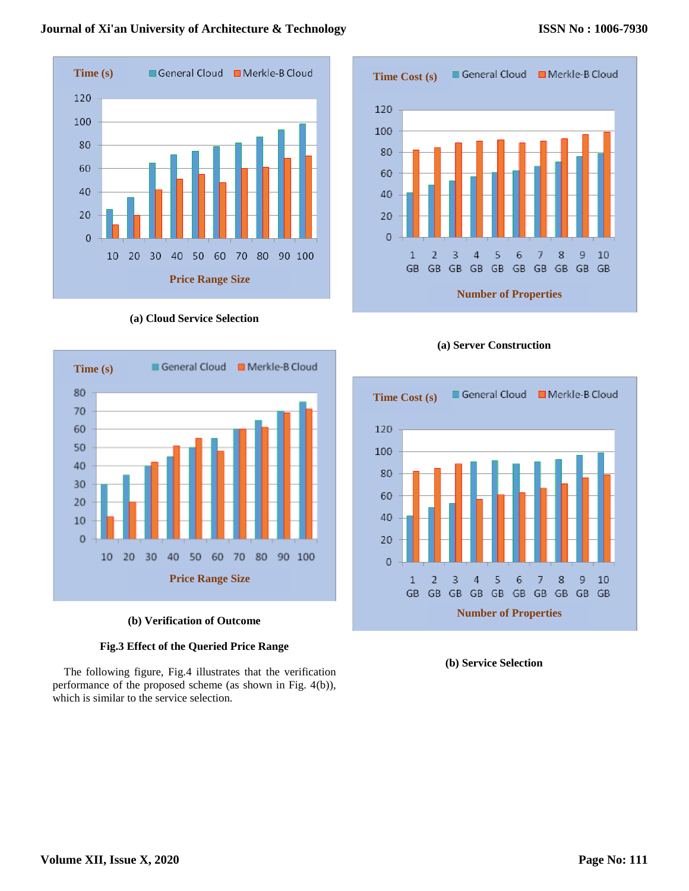

**(a) Cloud Service Selection**



# **(b) Verification of Outcome**

# **Fig.3 Effect of the Queried Price Range**

The following figure, Fig.4 illustrates that the verification performance of the proposed scheme (as shown in Fig. 4(b)), which is similar to the service selection.







**(b) Service Selection**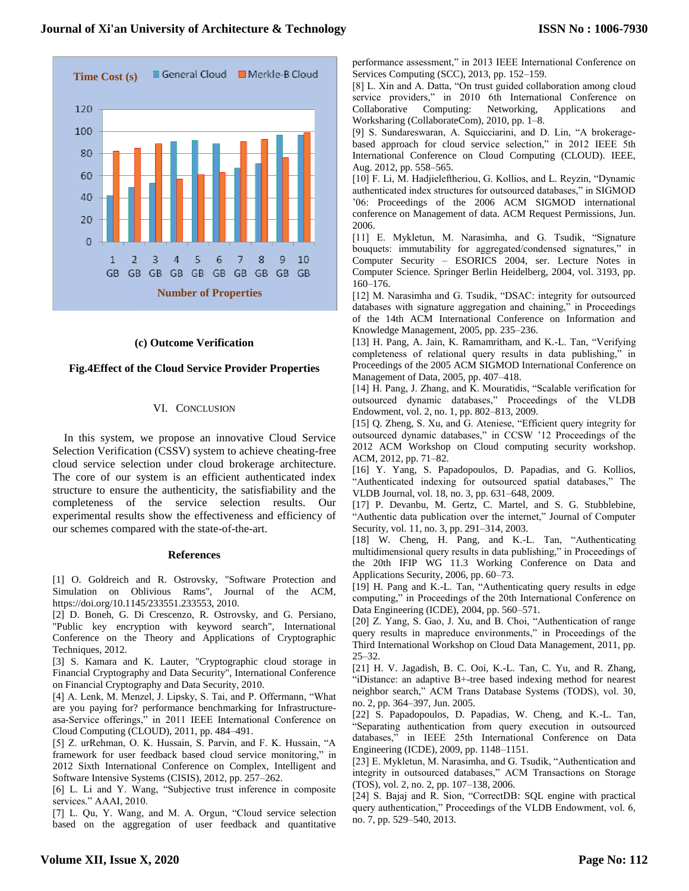

#### **(c) Outcome Verification**

#### **Fig.4Effect of the Cloud Service Provider Properties**

#### VI. CONCLUSION

In this system, we propose an innovative Cloud Service Selection Verification (CSSV) system to achieve cheating-free cloud service selection under cloud brokerage architecture. The core of our system is an efficient authenticated index structure to ensure the authenticity, the satisfiability and the completeness of the service selection results. Our experimental results show the effectiveness and efficiency of our schemes compared with the state-of-the-art.

#### **References**

[1] O. Goldreich and R. Ostrovsky, "Software Protection and Simulation on Oblivious Rams", Journal of the ACM, https://doi.org/10.1145/233551.233553, 2010.

[2] D. Boneh, G. Di Crescenzo, R. Ostrovsky, and G. Persiano, "Public key encryption with keyword search", International Conference on the Theory and Applications of Cryptographic Techniques, 2012.

[3] S. Kamara and K. Lauter, "Cryptographic cloud storage in Financial Cryptography and Data Security", International Conference on Financial Cryptography and Data Security, 2010.

[4] A. Lenk, M. Menzel, J. Lipsky, S. Tai, and P. Offermann, "What are you paying for? performance benchmarking for Infrastructureasa-Service offerings," in 2011 IEEE International Conference on Cloud Computing (CLOUD), 2011, pp. 484–491.

[5] Z. urRehman, O. K. Hussain, S. Parvin, and F. K. Hussain, "A framework for user feedback based cloud service monitoring," in 2012 Sixth International Conference on Complex, Intelligent and Software Intensive Systems (CISIS), 2012, pp. 257–262.

[6] L. Li and Y. Wang, "Subjective trust inference in composite services." AAAI, 2010.

[7] L. Qu, Y. Wang, and M. A. Orgun, "Cloud service selection based on the aggregation of user feedback and quantitative performance assessment," in 2013 IEEE International Conference on Services Computing (SCC), 2013, pp. 152–159.

[8] L. Xin and A. Datta, "On trust guided collaboration among cloud service providers," in 2010 6th International Conference on Collaborative Computing: Networking, Applications and Worksharing (CollaborateCom), 2010, pp. 1–8.

[9] S. Sundareswaran, A. Squicciarini, and D. Lin, "A brokeragebased approach for cloud service selection," in 2012 IEEE 5th International Conference on Cloud Computing (CLOUD). IEEE, Aug. 2012, pp. 558–565.

[10] F. Li, M. Hadjieleftheriou, G. Kollios, and L. Reyzin, "Dynamic authenticated index structures for outsourced databases," in SIGMOD '06: Proceedings of the 2006 ACM SIGMOD international conference on Management of data. ACM Request Permissions, Jun. 2006.

[11] E. Mykletun, M. Narasimha, and G. Tsudik, "Signature bouquets: immutability for aggregated/condensed signatures," in Computer Security – ESORICS 2004, ser. Lecture Notes in Computer Science. Springer Berlin Heidelberg, 2004, vol. 3193, pp. 160–176.

[12] M. Narasimha and G. Tsudik, "DSAC: integrity for outsourced databases with signature aggregation and chaining," in Proceedings of the 14th ACM International Conference on Information and Knowledge Management, 2005, pp. 235–236.

[13] H. Pang, A. Jain, K. Ramamritham, and K.-L. Tan, "Verifying completeness of relational query results in data publishing," in Proceedings of the 2005 ACM SIGMOD International Conference on Management of Data, 2005, pp. 407–418.

[14] H. Pang, J. Zhang, and K. Mouratidis, "Scalable verification for outsourced dynamic databases," Proceedings of the VLDB Endowment, vol. 2, no. 1, pp. 802–813, 2009.

[15] Q. Zheng, S. Xu, and G. Ateniese, "Efficient query integrity for outsourced dynamic databases," in CCSW '12 Proceedings of the 2012 ACM Workshop on Cloud computing security workshop. ACM, 2012, pp. 71–82.

[16] Y. Yang, S. Papadopoulos, D. Papadias, and G. Kollios, "Authenticated indexing for outsourced spatial databases," The VLDB Journal, vol. 18, no. 3, pp. 631–648, 2009.

[17] P. Devanbu, M. Gertz, C. Martel, and S. G. Stubblebine, "Authentic data publication over the internet," Journal of Computer Security, vol. 11, no. 3, pp. 291–314, 2003.

[18] W. Cheng, H. Pang, and K.-L. Tan, "Authenticating multidimensional query results in data publishing," in Proceedings of the 20th IFIP WG 11.3 Working Conference on Data and Applications Security, 2006, pp. 60–73.

[19] H. Pang and K.-L. Tan, "Authenticating query results in edge computing," in Proceedings of the 20th International Conference on Data Engineering (ICDE), 2004, pp. 560–571.

[20] Z. Yang, S. Gao, J. Xu, and B. Choi, "Authentication of range query results in mapreduce environments," in Proceedings of the Third International Workshop on Cloud Data Management, 2011, pp. 25–32.

[21] H. V. Jagadish, B. C. Ooi, K.-L. Tan, C. Yu, and R. Zhang, "iDistance: an adaptive B+-tree based indexing method for nearest neighbor search," ACM Trans Database Systems (TODS), vol. 30, no. 2, pp. 364–397, Jun. 2005.

[22] S. Papadopoulos, D. Papadias, W. Cheng, and K.-L. Tan, "Separating authentication from query execution in outsourced databases," in IEEE 25th International Conference on Data Engineering (ICDE), 2009, pp. 1148–1151.

[23] E. Mykletun, M. Narasimha, and G. Tsudik, "Authentication and integrity in outsourced databases," ACM Transactions on Storage (TOS), vol. 2, no. 2, pp. 107–138, 2006.

[24] S. Bajaj and R. Sion, "CorrectDB: SQL engine with practical query authentication," Proceedings of the VLDB Endowment, vol. 6, no. 7, pp. 529–540, 2013.